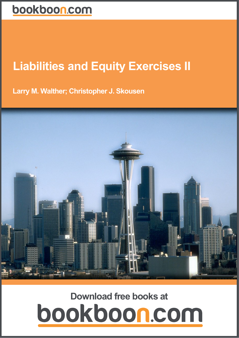# **Liabilities and Equity Exercises II**

Larry M. Walther; Christopher J. Skousen

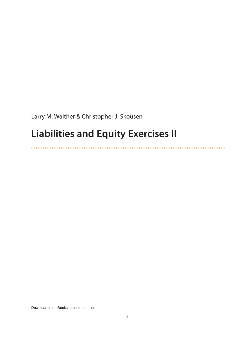Larry M. Walther & Christopher J. Skousen

. . . . . . . . . . .

# **Liabilities and Equity Exercises II**

. . . . . . . . . . . . . . . .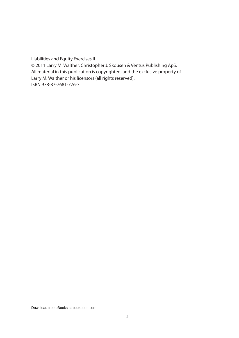Liabilities and Equity Exercises II © 2011 Larry M. Walther, Christopher J. Skousen & Ventus Publishing ApS. All material in this publication is copyrighted, and the exclusive property of Larry M. Walther or his licensors (all rights reserved). ISBN 978-87-7681-776-3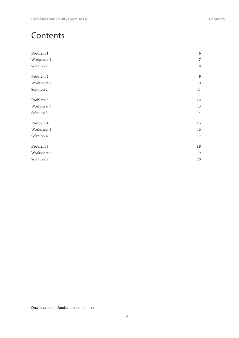| 6  |
|----|
| 7  |
| 8  |
| 9  |
| 10 |
| 11 |
| 12 |
| 13 |
| 14 |
| 15 |
| 16 |
| 17 |
| 18 |
| 19 |
| 20 |
|    |

**Contents**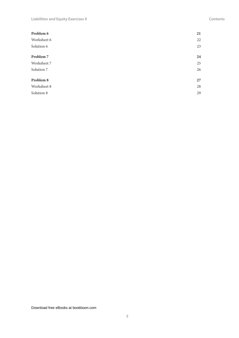#### **Contents**

| 21 |
|----|
| 22 |
| 23 |
| 24 |
| 25 |
| 26 |
| 27 |
| 28 |
| 29 |
|    |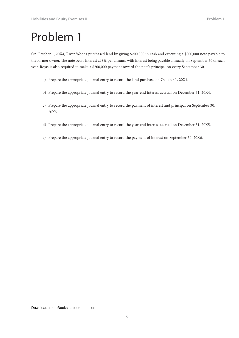On October 1, 20X4, River Woods purchased land by giving \$200,000 in cash and executing a \$800,000 note payable to the former owner. The note bears interest at 8% per annum, with interest being payable annually on September 30 of each year. Rojas is also required to make a \$200,000 payment toward the note's principal on every September 30.

- a) Prepare the appropriate journal entry to record the land purchase on October 1, 20X4.
- b) Prepare the appropriate journal entry to record the year-end interest accrual on December 31, 20X4.
- c) Prepare the appropriate journal entry to record the payment of interest and principal on September 30, 20X5.
- d) Prepare the appropriate journal entry to record the year-end interest accrual on December 31, 20X5.
- e) Prepare the appropriate journal entry to record the payment of interest on September 30, 20X6.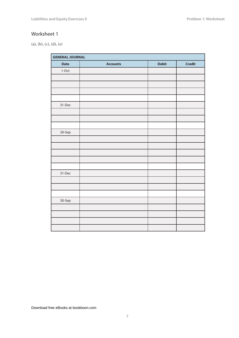(a), (b), (c), (d), (e)

| <b>GENERAL JOURNAL</b> |                 |              |               |
|------------------------|-----------------|--------------|---------------|
| <b>Date</b>            | <b>Accounts</b> | <b>Debit</b> | <b>Credit</b> |
| $1-Oct$                |                 |              |               |
|                        |                 |              |               |
|                        |                 |              |               |
|                        |                 |              |               |
|                        |                 |              |               |
| 31-Dec                 |                 |              |               |
|                        |                 |              |               |
|                        |                 |              |               |
|                        |                 |              |               |
| 30-Sep                 |                 |              |               |
|                        |                 |              |               |
|                        |                 |              |               |
|                        |                 |              |               |
|                        |                 |              |               |
|                        |                 |              |               |
| 31-Dec                 |                 |              |               |
|                        |                 |              |               |
|                        |                 |              |               |
|                        |                 |              |               |
| 30-Sep                 |                 |              |               |
|                        |                 |              |               |
|                        |                 |              |               |
|                        |                 |              |               |
|                        |                 |              |               |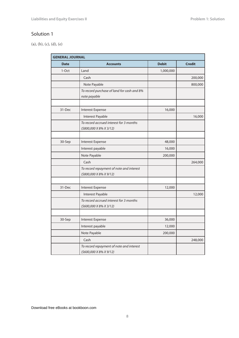(a), (b), (c), (d), (e)

| <b>GENERAL JOURNAL</b> |                                                                     |              |               |
|------------------------|---------------------------------------------------------------------|--------------|---------------|
| <b>Date</b>            | <b>Accounts</b>                                                     | <b>Debit</b> | <b>Credit</b> |
| 1-Oct                  | Land                                                                | 1,000,000    |               |
|                        | Cash                                                                |              | 200,000       |
|                        | Note Payable                                                        |              | 800,000       |
|                        | To record purchase of land for cash and 8%<br>note payable          |              |               |
|                        |                                                                     |              |               |
| 31-Dec                 | Interest Expense                                                    | 16,000       |               |
|                        | Interest Payable                                                    |              | 16,000        |
|                        | To record accrued interest for 3 months<br>(\$800,000 X 8% X 3/12)  |              |               |
|                        |                                                                     |              |               |
| 30-Sep                 | Interest Expense                                                    | 48,000       |               |
|                        | Interest payable                                                    | 16,000       |               |
|                        | Note Payable                                                        | 200,000      |               |
|                        | Cash                                                                |              | 264,000       |
|                        | To record repayment of note and interest<br>$(5800,000X8\%X9/12)$   |              |               |
|                        |                                                                     |              |               |
| 31-Dec                 | Interest Expense                                                    | 12,000       |               |
|                        | Interest Payable                                                    |              | 12,000        |
|                        | To record accrued interest for 3 months<br>(\$600,000 X 8% X 3/12)  |              |               |
|                        |                                                                     |              |               |
| 30-Sep                 | Interest Expense                                                    | 36,000       |               |
|                        | Interest payable                                                    | 12,000       |               |
|                        | Note Payable                                                        | 200,000      |               |
|                        | Cash                                                                |              | 248,000       |
|                        | To record repayment of note and interest<br>(\$600,000 X 8% X 9/12) |              |               |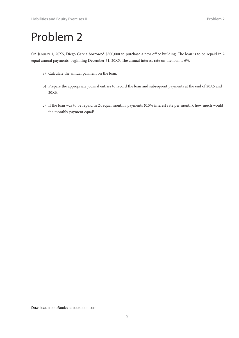On January 1, 20X5, Diego Garcia borrowed \$300,000 to purchase a new office building. The loan is to be repaid in 2 equal annual payments, beginning December 31, 20X5. The annual interest rate on the loan is 6%.

- a) Calculate the annual payment on the loan.
- b) Prepare the appropriate journal entries to record the loan and subsequent payments at the end of 20X5 and 20X6.
- c) If the loan was to be repaid in 24 equal monthly payments (0.5% interest rate per month), how much would the monthly payment equal?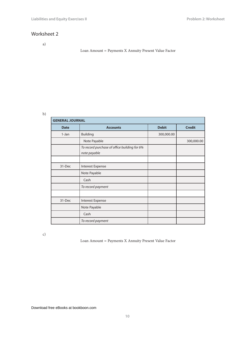a)

#### Loan Amount = Payments X Annuity Present Value Factor

#### b)

| <b>GENERAL JOURNAL</b> |                                                              |              |               |
|------------------------|--------------------------------------------------------------|--------------|---------------|
| <b>Date</b>            | <b>Accounts</b>                                              | <b>Debit</b> | <b>Credit</b> |
| $1-Jan$                | <b>Building</b>                                              | 300,000.00   |               |
|                        | Note Payable                                                 |              | 300,000.00    |
|                        | To record purchase of office building for 6%<br>note payable |              |               |
|                        |                                                              |              |               |
| 31-Dec                 | Interest Expense                                             |              |               |
|                        | Note Payable                                                 |              |               |
|                        | Cash                                                         |              |               |
|                        | To record payment                                            |              |               |
|                        |                                                              |              |               |
| 31-Dec                 | Interest Expense                                             |              |               |
|                        | Note Payable                                                 |              |               |
|                        | Cash                                                         |              |               |
|                        | To record payment                                            |              |               |

c)

Loan Amount = Payments X Annuity Present Value Factor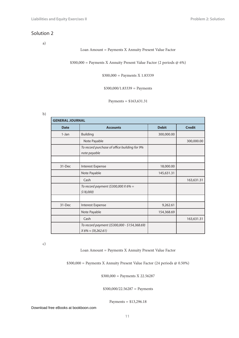a)

#### Loan Amount = Payments X Annuity Present Value Factor

\$300,000 = Payments X Annuity Present Value Factor (2 periods @ 6%)

\$300,000 = Payments X 1.83339

 $$300,000/1.83339 =$  Payments

Payments = \$163,631.31

b)

| <b>GENERAL JOURNAL</b> |                                                                            |              |               |
|------------------------|----------------------------------------------------------------------------|--------------|---------------|
| <b>Date</b>            | <b>Accounts</b>                                                            | <b>Debit</b> | <b>Credit</b> |
| 1-Jan                  | <b>Building</b>                                                            | 300,000.00   |               |
|                        | Note Payable                                                               |              | 300,000.00    |
|                        | To record purchase of office building for 9%<br>note payable               |              |               |
|                        |                                                                            |              |               |
| 31-Dec                 | Interest Expense                                                           | 18,000.00    |               |
|                        | Note Payable                                                               | 145,631.31   |               |
|                        | Cash                                                                       |              | 163,631.31    |
|                        | To record payment (\$300,000 X 6% =<br>$$18,000$ )                         |              |               |
|                        |                                                                            |              |               |
| 31-Dec                 | Interest Expense                                                           | 9,262.61     |               |
|                        | Note Payable                                                               | 154,368.69   |               |
|                        | Cash                                                                       |              | 163,631.31    |
|                        | To record payment ((\$300,000 - \$154,368.69)<br>$X 6\% \approx $9,262.61$ |              |               |

c)

Loan Amount = Payments X Annuity Present Value Factor

\$300,000 = Payments X Annuity Present Value Factor (24 periods @ 0.50%)

\$300,000 = Payments X 22.56287

 $$300,000/22.56287 = Payments$ 

Payments = \$13,296.18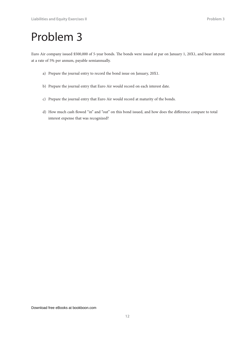Euro Air company issued \$500,000 of 5-year bonds. The bonds were issued at par on January 1, 20X1, and bear interest at a rate of 5% per annum, payable semiannually.

- a) Prepare the journal entry to record the bond issue on January, 20X1.
- b) Prepare the journal entry that Euro Air would record on each interest date.
- c) Prepare the journal entry that Euro Air would record at maturity of the bonds.
- d) How much cash flowed "in" and "out" on this bond issued, and how does the difference compare to total interest expense that was recognized?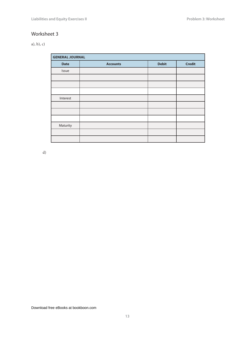#### a), b), c)

| <b>GENERAL JOURNAL</b> |                 |              |               |
|------------------------|-----------------|--------------|---------------|
| <b>Date</b>            | <b>Accounts</b> | <b>Debit</b> | <b>Credit</b> |
| Issue                  |                 |              |               |
|                        |                 |              |               |
|                        |                 |              |               |
|                        |                 |              |               |
| Interest               |                 |              |               |
|                        |                 |              |               |
|                        |                 |              |               |
|                        |                 |              |               |
| Maturity               |                 |              |               |
|                        |                 |              |               |
|                        |                 |              |               |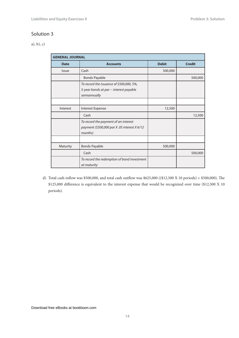a), b), c)

| <b>GENERAL JOURNAL</b> |                                                                                                     |              |               |
|------------------------|-----------------------------------------------------------------------------------------------------|--------------|---------------|
| <b>Date</b>            | <b>Accounts</b>                                                                                     | <b>Debit</b> | <b>Credit</b> |
| <b>Issue</b>           | Cash                                                                                                | 500,000      |               |
|                        | <b>Bonds Payable</b>                                                                                |              | 500,000       |
|                        | To record the issuance of \$500,000, 5%,<br>5-year bonds at par -- interest payable<br>semiannually |              |               |
|                        |                                                                                                     |              |               |
| Interest               | Interest Expense                                                                                    | 12,500       |               |
|                        | Cash                                                                                                |              | 12,500        |
|                        | To record the payment of an interest<br>payment (\$500,000 par X.05 interest X 6/12<br>months)      |              |               |
|                        |                                                                                                     |              |               |
| Maturity               | <b>Bonds Payable</b>                                                                                | 500,000      |               |
|                        | Cash                                                                                                |              | 500,000       |
|                        | To record the redemption of bond investment<br>at maturity                                          |              |               |

d) Total cash inflow was \$500,000, and total cash outflow was \$625,000 ((\$12,500 X 10 periods) + \$500,000). The \$125,000 difference is equivalent to the interest expense that would be recognized over time (\$12,500 X 10 periods).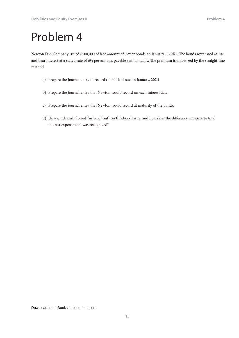Newton Fish Company issued \$500,000 of face amount of 5-year bonds on January 1, 20X1. The bonds were issed at 102, and bear interest at a stated rate of 6% per annum, payable semiannually. The premium is amortized by the straight-line method.

- a) Prepare the journal entry to record the initial issue on January, 20X1.
- b) Prepare the journal entry that Newton would record on each interest date.
- c) Prepare the journal entry that Newton would record at maturity of the bonds.
- d) How much cash flowed "in" and "out" on this bond issue, and how does the difference compare to total interest expense that was recognized?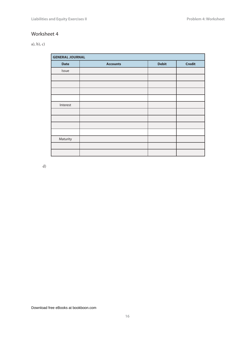#### a), b), c)

| <b>GENERAL JOURNAL</b> |                 |              |               |
|------------------------|-----------------|--------------|---------------|
| <b>Date</b>            | <b>Accounts</b> | <b>Debit</b> | <b>Credit</b> |
| Issue                  |                 |              |               |
|                        |                 |              |               |
|                        |                 |              |               |
|                        |                 |              |               |
|                        |                 |              |               |
| Interest               |                 |              |               |
|                        |                 |              |               |
|                        |                 |              |               |
|                        |                 |              |               |
|                        |                 |              |               |
| Maturity               |                 |              |               |
|                        |                 |              |               |
|                        |                 |              |               |

d)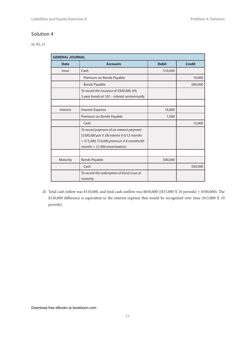a), b), c)

| <b>GENERAL JOURNAL</b> |                                                                                                                                                                             |              |               |
|------------------------|-----------------------------------------------------------------------------------------------------------------------------------------------------------------------------|--------------|---------------|
| <b>Date</b>            | <b>Accounts</b>                                                                                                                                                             | <b>Debit</b> | <b>Credit</b> |
| <b>Issue</b>           | Cash                                                                                                                                                                        | 510,000      |               |
|                        | Premium on Bonds Payable                                                                                                                                                    |              | 10,000        |
|                        | <b>Bonds Payable</b>                                                                                                                                                        |              | 500,000       |
|                        | To record the issuance of \$500,000, 6%,<br>5-year bonds at 102 -- interest semiannually                                                                                    |              |               |
|                        |                                                                                                                                                                             |              |               |
| Interest               | <b>Interest Expense</b>                                                                                                                                                     | 14,000       |               |
|                        | Premium on Bonds Payable                                                                                                                                                    | 1,000        |               |
|                        | Cash                                                                                                                                                                        |              | 15,000        |
|                        | To record payment of an interest payment<br>(\$500,000 par X .06 interest X 6/12 months)<br>$=$ \$15,000; \$10,000 premium X 6 months/60<br>months = $$1,000$ amortization) |              |               |
|                        |                                                                                                                                                                             |              |               |
| Maturity               | <b>Bonds Payable</b>                                                                                                                                                        | 500,000      |               |
|                        | Cash                                                                                                                                                                        |              | 500,000       |
|                        | To record the redemption of bond issue at<br>maturity                                                                                                                       |              |               |

d) Total cash inflow was \$510,000, and total cash outflow was \$650,000 ((\$15,000 X 10 periods) + \$500,000). The \$150,000 difference is equivalent to the interest expense that would be recognized over time (\$15,000 X 10 periods).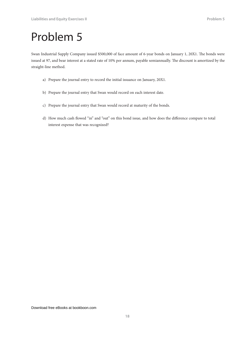Swan Industrial Supply Company issued \$500,000 of face amount of 6-year bonds on January 1, 20X1. The bonds were issued at 97, and bear interest at a stated rate of 10% per annum, payable semiannually. The discount is amortized by the straight-line method.

- a) Prepare the journal entry to record the initial issuance on January, 20X1.
- b) Prepare the journal entry that Swan would record on each interest date.
- c) Prepare the journal entry that Swan would record at maturity of the bonds.
- d) How much cash flowed "in" and "out" on this bond issue, and how does the difference compare to total interest expense that was recognized?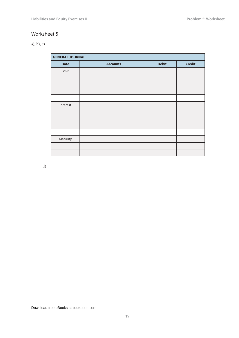#### a), b), c)

| <b>GENERAL JOURNAL</b> |                 |              |               |
|------------------------|-----------------|--------------|---------------|
| <b>Date</b>            | <b>Accounts</b> | <b>Debit</b> | <b>Credit</b> |
| Issue                  |                 |              |               |
|                        |                 |              |               |
|                        |                 |              |               |
|                        |                 |              |               |
|                        |                 |              |               |
| Interest               |                 |              |               |
|                        |                 |              |               |
|                        |                 |              |               |
|                        |                 |              |               |
|                        |                 |              |               |
| Maturity               |                 |              |               |
|                        |                 |              |               |
|                        |                 |              |               |

d)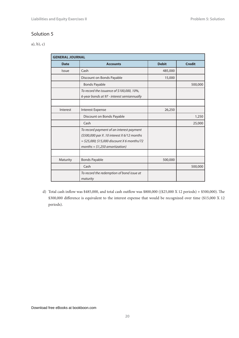a), b), c)

| <b>GENERAL JOURNAL</b> |                                                                                                                                                                            |              |               |
|------------------------|----------------------------------------------------------------------------------------------------------------------------------------------------------------------------|--------------|---------------|
| <b>Date</b>            | <b>Accounts</b>                                                                                                                                                            | <b>Debit</b> | <b>Credit</b> |
| <b>Issue</b>           | Cash                                                                                                                                                                       | 485,000      |               |
|                        | Discount on Bonds Payable                                                                                                                                                  | 15,000       |               |
|                        | <b>Bonds Payable</b>                                                                                                                                                       |              | 500,000       |
|                        | To record the issuance of \$100,000, 10%,<br>6-year bonds at 97 - interest semiannually                                                                                    |              |               |
| Interest               | <b>Interest Expense</b>                                                                                                                                                    | 26,250       |               |
|                        | Discount on Bonds Payable                                                                                                                                                  |              | 1,250         |
|                        | Cash                                                                                                                                                                       |              | 25,000        |
|                        | To record payment of an interest payment<br>(\$500,000 par X.10 interest X 6/12 months<br>$=$ \$25,000; \$15,000 discount X 6 months/72<br>months = $$1,250$ amortization) |              |               |
|                        |                                                                                                                                                                            |              |               |
| Maturity               | <b>Bonds Payable</b>                                                                                                                                                       | 500,000      |               |
|                        | Cash                                                                                                                                                                       |              | 500,000       |
|                        | To record the redemption of bond issue at<br>maturity                                                                                                                      |              |               |

d) Total cash inflow was \$485,000, and total cash outflow was \$800,000 ((\$25,000 X 12 periods) + \$500,000). The \$300,000 difference is equivalent to the interest expense that would be recognized over time (\$15,000 X 12 periods).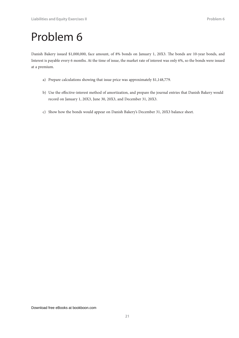Danish Bakery issued \$1,000,000, face amount, of 8% bonds on January 1, 20X3. The bonds are 10-year bonds, and Interest is payable every 6 months. At the time of issue, the market rate of interest was only 6%, so the bonds were issued at a premium.

- a) Prepare calculations showing that issue price was approximately \$1,148,779.
- b) Use the effective-interest method of amortization, and prepare the journal entries that Danish Bakery would record on January 1, 20X3, June 30, 20X3, and December 31, 20X3.
- c) Show how the bonds would appear on Danish Bakery's December 31, 20X3 balance sheet.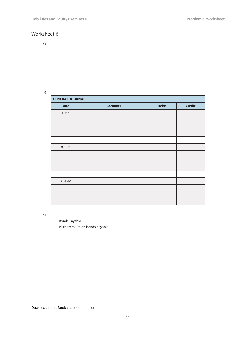a)

b)

| <b>GENERAL JOURNAL</b> |                 |              |               |  |  |
|------------------------|-----------------|--------------|---------------|--|--|
| <b>Date</b>            | <b>Accounts</b> | <b>Debit</b> | <b>Credit</b> |  |  |
| 1-Jan                  |                 |              |               |  |  |
|                        |                 |              |               |  |  |
|                        |                 |              |               |  |  |
|                        |                 |              |               |  |  |
|                        |                 |              |               |  |  |
| 30-Jun                 |                 |              |               |  |  |
|                        |                 |              |               |  |  |
|                        |                 |              |               |  |  |
|                        |                 |              |               |  |  |
|                        |                 |              |               |  |  |
| 31-Dec                 |                 |              |               |  |  |
|                        |                 |              |               |  |  |
|                        |                 |              |               |  |  |
|                        |                 |              |               |  |  |

c)

Bonds Payable Plus: Premium on bonds payable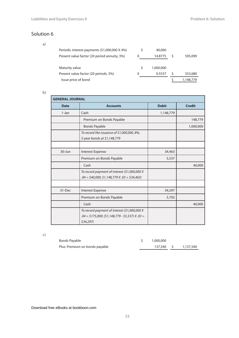a)

| Periodic interest payments (\$1,000,000 X 4%)<br>Present value factor (20 period annuity, 3%) | 40,000<br>14.8775 | 595,099 |
|-----------------------------------------------------------------------------------------------|-------------------|---------|
| Maturity value                                                                                | 1.000.000         |         |
| Present value factor (20 periods, 3%)                                                         | 0.5537            | 553,680 |
| Issue price of bond                                                                           |                   | 1.148.  |

b)

| <b>GENERAL JOURNAL</b> |                                                                                                                  |              |               |  |
|------------------------|------------------------------------------------------------------------------------------------------------------|--------------|---------------|--|
| <b>Date</b>            | <b>Accounts</b>                                                                                                  | <b>Debit</b> | <b>Credit</b> |  |
| $1-Jan$                | Cash                                                                                                             | 1,148,779    |               |  |
|                        | Premium on Bonds Payable                                                                                         |              | 148,779       |  |
|                        | <b>Bonds Payable</b>                                                                                             |              | 1,000,000     |  |
|                        | To record the issuance of $$1,000,000,8\%$ ,<br>5-year bonds at \$1,148,779                                      |              |               |  |
|                        |                                                                                                                  |              |               |  |
| $30 - Jun$             | <b>Interest Expense</b>                                                                                          | 34,463       |               |  |
|                        | Premium on Bonds Payable                                                                                         | 5,537        |               |  |
|                        | Cash                                                                                                             |              | 40,000        |  |
|                        | To record payment of interest (\$1,000,000 X<br>$.04 = $40,000; $1,148,779 X.03 = $34,463$                       |              |               |  |
|                        |                                                                                                                  |              |               |  |
| 31-Dec                 | <b>Interest Expense</b>                                                                                          | 34,297       |               |  |
|                        | Premium on Bonds Payable                                                                                         | 5,703        |               |  |
|                        | Cash                                                                                                             |              | 40,000        |  |
|                        | To record payment of interest (\$1,000,000 X<br>$.04 = $175,000$ ; (\$1,148,779 - \$5,537) $X.03 =$<br>\$34,297) |              |               |  |

c)

| Bonds Payable                  | 1,000,000 |                      |
|--------------------------------|-----------|----------------------|
| Plus: Premium on bonds payable |           | 137,540 \$ 1,137,540 |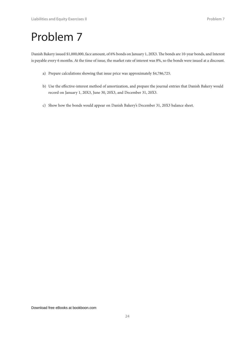Danish Bakery issued \$1,000,000, face amount, of 6% bonds on January 1, 20X3. The bonds are 10-year bonds, and Interest is payable every 6 months. At the time of issue, the market rate of interest was 8%, so the bonds were issued at a discount.

- a) Prepare calculations showing that issue price was approximately \$4,786,725.
- b) Use the effective-interest method of amortization, and prepare the journal entries that Danish Bakery would record on January 1, 20X3, June 30, 20X3, and December 31, 20X3.
- c) Show how the bonds would appear on Danish Bakery's December 31, 20X3 balance sheet.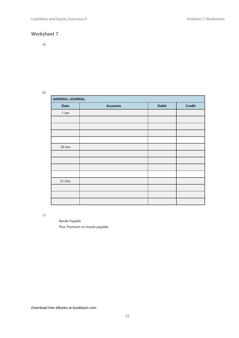a)

b)

| <b>GENERAL JOURNAL</b> |                 |              |               |  |  |
|------------------------|-----------------|--------------|---------------|--|--|
| <b>Date</b>            | <b>Accounts</b> | <b>Debit</b> | <b>Credit</b> |  |  |
| $1-Jan$                |                 |              |               |  |  |
|                        |                 |              |               |  |  |
|                        |                 |              |               |  |  |
|                        |                 |              |               |  |  |
|                        |                 |              |               |  |  |
| 30-Jun                 |                 |              |               |  |  |
|                        |                 |              |               |  |  |
|                        |                 |              |               |  |  |
|                        |                 |              |               |  |  |
|                        |                 |              |               |  |  |
| 31-Dec                 |                 |              |               |  |  |
|                        |                 |              |               |  |  |
|                        |                 |              |               |  |  |
|                        |                 |              |               |  |  |

c)

Bonds Payable Plus: Premium on bonds payable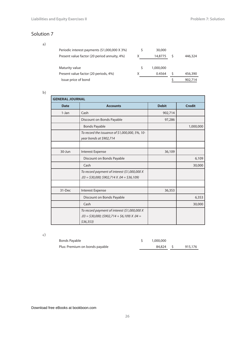a)

| Periodic interest payments (\$1,000,000 X 3%)<br>Present value factor (20 period annuity, 4%) | 30,000<br>14,8775 | 446,324 |
|-----------------------------------------------------------------------------------------------|-------------------|---------|
| Maturity value                                                                                | 1,000,000         |         |
| Present value factor (20 periods, 4%)                                                         | 0.4564            | 456,390 |
| Issue price of bond                                                                           |                   |         |

b)

| <b>GENERAL JOURNAL</b> |                                                                                                            |              |               |  |
|------------------------|------------------------------------------------------------------------------------------------------------|--------------|---------------|--|
| <b>Date</b>            | <b>Accounts</b>                                                                                            | <b>Debit</b> | <b>Credit</b> |  |
| $1-Jan$                | Cash                                                                                                       | 902,714      |               |  |
|                        | Discount on Bonds Payable                                                                                  | 97,286       |               |  |
|                        | <b>Bonds Payable</b>                                                                                       |              | 1,000,000     |  |
|                        | To record the issuance of \$1,000,000, 5%, 10-<br>year bonds at \$902,714                                  |              |               |  |
|                        |                                                                                                            |              |               |  |
| 30-Jun                 | Interest Expense                                                                                           | 36,109       |               |  |
|                        | Discount on Bonds Payable                                                                                  |              | 6,109         |  |
|                        | Cash                                                                                                       |              | 30,000        |  |
|                        | To record payment of interest (\$1,000,000 X<br>$.03 = $30,000; $902,714 X.04 = $36,109$                   |              |               |  |
|                        |                                                                                                            |              |               |  |
| 31-Dec                 | Interest Expense                                                                                           | 36,353       |               |  |
|                        | Discount on Bonds Payable                                                                                  |              | 6,353         |  |
|                        | Cash                                                                                                       |              | 30,000        |  |
|                        | To record payment of interest (\$1,000,000 X<br>$.03 = $30,000; ($902,714 + $6,109) X.04 =$<br>$$36,353$ ) |              |               |  |

c)

| Bonds Payable                  | 1,000,000 |         |
|--------------------------------|-----------|---------|
| Plus: Premium on bonds payable | 84.824 \$ | 915,176 |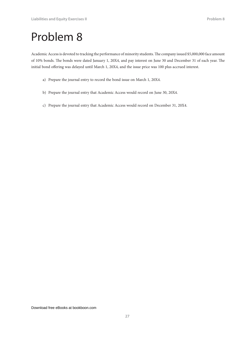Academic Access is devoted to tracking the performance of minority students. The company issued \$5,000,000 face amount of 10% bonds. The bonds were dated January 1, 20X4, and pay interest on June 30 and December 31 of each year. The initial bond offering was delayed until March 1, 20X4, and the issue price was 100 plus accrued interest.

- a) Prepare the journal entry to record the bond issue on March 1, 20X4.
- b) Prepare the journal entry that Academic Access would record on June 30, 20X4.
- c) Prepare the journal entry that Academic Access would record on December 31, 20X4.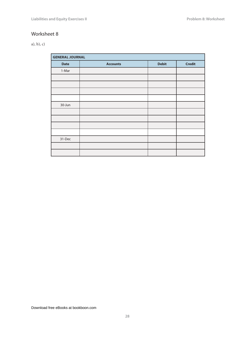#### a), b), c)

| <b>GENERAL JOURNAL</b><br>ı |                 |              |               |
|-----------------------------|-----------------|--------------|---------------|
| <b>Date</b>                 | <b>Accounts</b> | <b>Debit</b> | <b>Credit</b> |
| 1-Mar                       |                 |              |               |
|                             |                 |              |               |
|                             |                 |              |               |
|                             |                 |              |               |
|                             |                 |              |               |
| 30-Jun                      |                 |              |               |
|                             |                 |              |               |
|                             |                 |              |               |
|                             |                 |              |               |
|                             |                 |              |               |
| 31-Dec                      |                 |              |               |
|                             |                 |              |               |
|                             |                 |              |               |